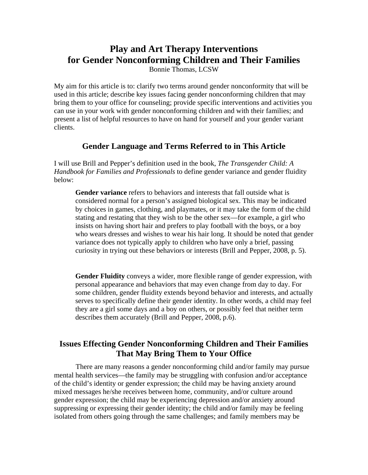# **Play and Art Therapy Interventions for Gender Nonconforming Children and Their Families**

Bonnie Thomas, LCSW

My aim for this article is to: clarify two terms around gender nonconformity that will be used in this article; describe key issues facing gender nonconforming children that may bring them to your office for counseling; provide specific interventions and activities you can use in your work with gender nonconforming children and with their families; and present a list of helpful resources to have on hand for yourself and your gender variant clients.

# **Gender Language and Terms Referred to in This Article**

I will use Brill and Pepper's definition used in the book, *The Transgender Child: A Handbook for Families and Professionals* to define gender variance and gender fluidity below:

**Gender variance** refers to behaviors and interests that fall outside what is considered normal for a person's assigned biological sex. This may be indicated by choices in games, clothing, and playmates, or it may take the form of the child stating and restating that they wish to be the other sex—for example, a girl who insists on having short hair and prefers to play football with the boys, or a boy who wears dresses and wishes to wear his hair long. It should be noted that gender variance does not typically apply to children who have only a brief, passing curiosity in trying out these behaviors or interests (Brill and Pepper, 2008, p. 5).

**Gender Fluidity** conveys a wider, more flexible range of gender expression, with personal appearance and behaviors that may even change from day to day. For some children, gender fluidity extends beyond behavior and interests, and actually serves to specifically define their gender identity. In other words, a child may feel they are a girl some days and a boy on others, or possibly feel that neither term describes them accurately (Brill and Pepper, 2008, p.6).

# **Issues Effecting Gender Nonconforming Children and Their Families That May Bring Them to Your Office**

There are many reasons a gender nonconforming child and/or family may pursue mental health services—the family may be struggling with confusion and/or acceptance of the child's identity or gender expression; the child may be having anxiety around mixed messages he/she receives between home, community, and/or culture around gender expression; the child may be experiencing depression and/or anxiety around suppressing or expressing their gender identity; the child and/or family may be feeling isolated from others going through the same challenges; and family members may be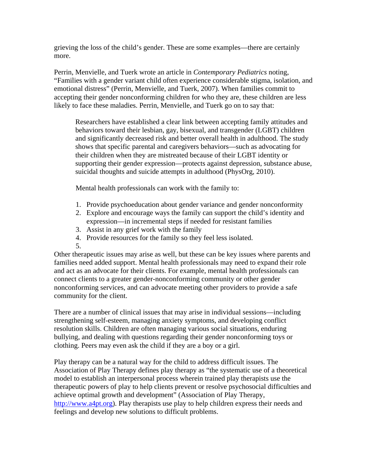grieving the loss of the child's gender. These are some examples—there are certainly more.

Perrin, Menvielle, and Tuerk wrote an article in *Contemporary Pediatrics* noting, "Families with a gender variant child often experience considerable stigma, isolation, and emotional distress" (Perrin, Menvielle, and Tuerk, 2007). When families commit to accepting their gender nonconforming children for who they are, these children are less likely to face these maladies. Perrin, Menvielle, and Tuerk go on to say that:

Researchers have established a clear link between accepting family attitudes and behaviors toward their lesbian, gay, bisexual, and transgender (LGBT) children and significantly decreased risk and better overall health in adulthood. The study shows that specific parental and caregivers behaviors—such as advocating for their children when they are mistreated because of their LGBT identity or supporting their gender expression—protects against depression, substance abuse, suicidal thoughts and suicide attempts in adulthood (PhysOrg, 2010).

Mental health professionals can work with the family to:

- 1. Provide psychoeducation about gender variance and gender nonconformity
- 2. Explore and encourage ways the family can support the child's identity and expression—in incremental steps if needed for resistant families
- 3. Assist in any grief work with the family
- 4. Provide resources for the family so they feel less isolated.
- 5.

Other therapeutic issues may arise as well, but these can be key issues where parents and families need added support. Mental health professionals may need to expand their role and act as an advocate for their clients. For example, mental health professionals can connect clients to a greater gender-nonconforming community or other gender nonconforming services, and can advocate meeting other providers to provide a safe community for the client.

There are a number of clinical issues that may arise in individual sessions—including strengthening self-esteem, managing anxiety symptoms, and developing conflict resolution skills. Children are often managing various social situations, enduring bullying, and dealing with questions regarding their gender nonconforming toys or clothing. Peers may even ask the child if they are a boy or a girl.

Play therapy can be a natural way for the child to address difficult issues. The Association of Play Therapy defines play therapy as "the systematic use of a theoretical model to establish an interpersonal process wherein trained play therapists use the therapeutic powers of play to help clients prevent or resolve psychosocial difficulties and achieve optimal growth and development" (Association of Play Therapy, http://www.a4pt.org). Play therapists use play to help children express their needs and feelings and develop new solutions to difficult problems.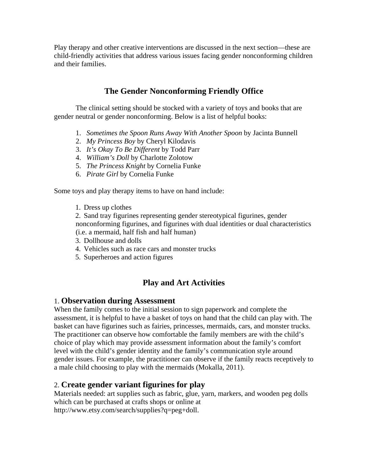Play therapy and other creative interventions are discussed in the next section—these are child-friendly activities that address various issues facing gender nonconforming children and their families.

# **The Gender Nonconforming Friendly Office**

The clinical setting should be stocked with a variety of toys and books that are gender neutral or gender nonconforming. Below is a list of helpful books:

- 1. *Sometimes the Spoon Runs Away With Another Spoon* by Jacinta Bunnell
- 2. *My Princess Boy* by Cheryl Kilodavis
- 3. *It's Okay To Be Different* by Todd Parr
- 4. *William's Doll* by Charlotte Zolotow
- 5. *The Princess Knight* by Cornelia Funke
- 6. *Pirate Girl* by Cornelia Funke

Some toys and play therapy items to have on hand include:

1. Dress up clothes

2. Sand tray figurines representing gender stereotypical figurines, gender nonconforming figurines, and figurines with dual identities or dual characteristics (i.e. a mermaid, half fish and half human)

- 3. Dollhouse and dolls
- 4. Vehicles such as race cars and monster trucks
- 5. Superheroes and action figures

## **Play and Art Activities**

#### 1. **Observation during Assessment**

When the family comes to the initial session to sign paperwork and complete the assessment, it is helpful to have a basket of toys on hand that the child can play with. The basket can have figurines such as fairies, princesses, mermaids, cars, and monster trucks. The practitioner can observe how comfortable the family members are with the child's choice of play which may provide assessment information about the family's comfort level with the child's gender identity and the family's communication style around gender issues. For example, the practitioner can observe if the family reacts receptively to a male child choosing to play with the mermaids (Mokalla, 2011).

#### 2. **Create gender variant figurines for play**

Materials needed: art supplies such as fabric, glue, yarn, markers, and wooden peg dolls which can be purchased at crafts shops or online at http://www.etsy.com/search/supplies?q=peg+doll.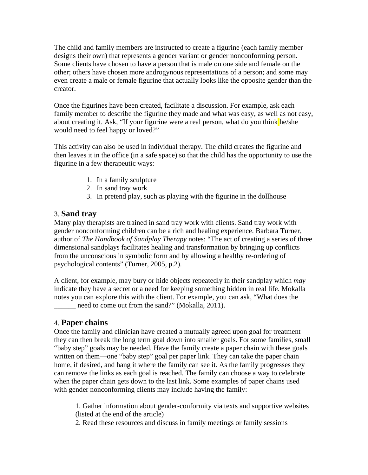The child and family members are instructed to create a figurine (each family member designs their own) that represents a gender variant or gender nonconforming person. Some clients have chosen to have a person that is male on one side and female on the other; others have chosen more androgynous representations of a person; and some may even create a male or female figurine that actually looks like the opposite gender than the creator.

Once the figurines have been created, facilitate a discussion. For example, ask each family member to describe the figurine they made and what was easy, as well as not easy, about creating it. Ask, "If your figurine were a real person, what do you think he/she would need to feel happy or loved?"

This activity can also be used in individual therapy. The child creates the figurine and then leaves it in the office (in a safe space) so that the child has the opportunity to use the figurine in a few therapeutic ways:

- 1. In a family sculpture
- 2. In sand tray work
- 3. In pretend play, such as playing with the figurine in the dollhouse

# 3. **Sand tray**

Many play therapists are trained in sand tray work with clients. Sand tray work with gender nonconforming children can be a rich and healing experience. Barbara Turner, author of *The Handbook of Sandplay Therapy* notes: "The act of creating a series of three dimensional sandplays facilitates healing and transformation by bringing up conflicts from the unconscious in symbolic form and by allowing a healthy re-ordering of psychological contents" (Turner, 2005, p.2).

A client, for example, may bury or hide objects repeatedly in their sandplay which *may* indicate they have a secret or a need for keeping something hidden in real life. Mokalla notes you can explore this with the client. For example, you can ask, "What does the need to come out from the sand?" (Mokalla, 2011).

## 4. **Paper chains**

Once the family and clinician have created a mutually agreed upon goal for treatment they can then break the long term goal down into smaller goals. For some families, small "baby step" goals may be needed. Have the family create a paper chain with these goals written on them—one "baby step" goal per paper link. They can take the paper chain home, if desired, and hang it where the family can see it. As the family progresses they can remove the links as each goal is reached. The family can choose a way to celebrate when the paper chain gets down to the last link. Some examples of paper chains used with gender nonconforming clients may include having the family:

1. Gather information about gender-conformity via texts and supportive websites (listed at the end of the article)

2. Read these resources and discuss in family meetings or family sessions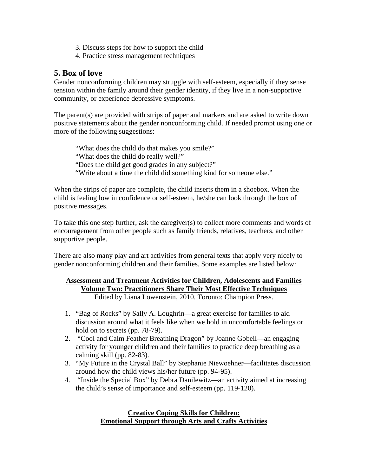- 3. Discuss steps for how to support the child
- 4. Practice stress management techniques

## **5. Box of love**

Gender nonconforming children may struggle with self-esteem, especially if they sense tension within the family around their gender identity, if they live in a non-supportive community, or experience depressive symptoms.

The parent(s) are provided with strips of paper and markers and are asked to write down positive statements about the gender nonconforming child. If needed prompt using one or more of the following suggestions:

"What does the child do that makes you smile?" "What does the child do really well?" "Does the child get good grades in any subject?" "Write about a time the child did something kind for someone else."

When the strips of paper are complete, the child inserts them in a shoebox. When the child is feeling low in confidence or self-esteem, he/she can look through the box of positive messages.

To take this one step further, ask the caregiver(s) to collect more comments and words of encouragement from other people such as family friends, relatives, teachers, and other supportive people.

There are also many play and art activities from general texts that apply very nicely to gender nonconforming children and their families. Some examples are listed below:

#### **Assessment and Treatment Activities for Children, Adolescents and Families Volume Two: Practitioners Share Their Most Effective Techniques**  Edited by Liana Lowenstein, 2010. Toronto: Champion Press.

- 1. "Bag of Rocks" by Sally A. Loughrin—a great exercise for families to aid discussion around what it feels like when we hold in uncomfortable feelings or hold on to secrets (pp. 78-79).
- 2. "Cool and Calm Feather Breathing Dragon" by Joanne Gobeil—an engaging activity for younger children and their families to practice deep breathing as a calming skill (pp. 82-83).
- 3. "My Future in the Crystal Ball" by Stephanie Niewoehner—facilitates discussion around how the child views his/her future (pp. 94-95).
- 4. "Inside the Special Box" by Debra Danilewitz—an activity aimed at increasing the child's sense of importance and self-esteem (pp. 119-120).

### **Creative Coping Skills for Children: Emotional Support through Arts and Crafts Activities**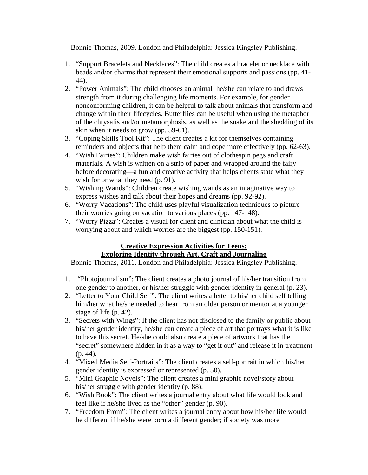Bonnie Thomas, 2009. London and Philadelphia: Jessica Kingsley Publishing.

- 1. "Support Bracelets and Necklaces": The child creates a bracelet or necklace with beads and/or charms that represent their emotional supports and passions (pp. 41- 44).
- 2. "Power Animals": The child chooses an animal he/she can relate to and draws strength from it during challenging life moments. For example, for gender nonconforming children, it can be helpful to talk about animals that transform and change within their lifecycles. Butterflies can be useful when using the metaphor of the chrysalis and/or metamorphosis, as well as the snake and the shedding of its skin when it needs to grow (pp. 59-61).
- 3. "Coping Skills Tool Kit": The client creates a kit for themselves containing reminders and objects that help them calm and cope more effectively (pp. 62-63).
- 4. "Wish Fairies": Children make wish fairies out of clothespin pegs and craft materials. A wish is written on a strip of paper and wrapped around the fairy before decorating—a fun and creative activity that helps clients state what they wish for or what they need (p. 91).
- 5. "Wishing Wands": Children create wishing wands as an imaginative way to express wishes and talk about their hopes and dreams (pp. 92-92).
- 6. "Worry Vacations": The child uses playful visualization techniques to picture their worries going on vacation to various places (pp. 147-148).
- 7. "Worry Pizza": Creates a visual for client and clinician about what the child is worrying about and which worries are the biggest (pp. 150-151).

### **Creative Expression Activities for Teens: Exploring Identity through Art, Craft and Journaling**

Bonnie Thomas, 2011. London and Philadelphia: Jessica Kingsley Publishing.

- 1. "Photojournalism": The client creates a photo journal of his/her transition from one gender to another, or his/her struggle with gender identity in general (p. 23).
- 2. "Letter to Your Child Self": The client writes a letter to his/her child self telling him/her what he/she needed to hear from an older person or mentor at a younger stage of life (p. 42).
- 3. "Secrets with Wings": If the client has not disclosed to the family or public about his/her gender identity, he/she can create a piece of art that portrays what it is like to have this secret. He/she could also create a piece of artwork that has the "secret" somewhere hidden in it as a way to "get it out" and release it in treatment (p. 44).
- 4. "Mixed Media Self-Portraits": The client creates a self-portrait in which his/her gender identity is expressed or represented (p. 50).
- 5. "Mini Graphic Novels": The client creates a mini graphic novel/story about his/her struggle with gender identity (p. 88).
- 6. "Wish Book": The client writes a journal entry about what life would look and feel like if he/she lived as the "other" gender (p. 90).
- 7. "Freedom From": The client writes a journal entry about how his/her life would be different if he/she were born a different gender; if society was more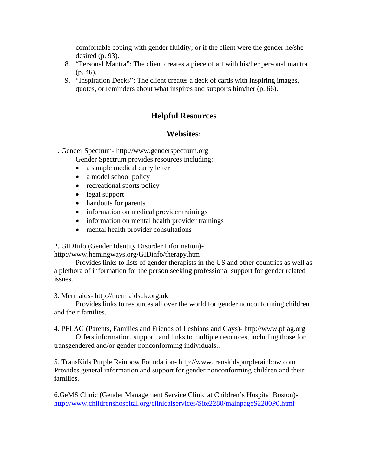comfortable coping with gender fluidity; or if the client were the gender he/she desired (p. 93).

- 8. "Personal Mantra": The client creates a piece of art with his/her personal mantra (p. 46).
- 9. "Inspiration Decks": The client creates a deck of cards with inspiring images, quotes, or reminders about what inspires and supports him/her (p. 66).

# **Helpful Resources**

# **Websites:**

1. Gender Spectrum- http://www.genderspectrum.org

Gender Spectrum provides resources including:

- a sample medical carry letter
- a model school policy
- recreational sports policy
- legal support
- handouts for parents
- information on medical provider trainings
- information on mental health provider trainings
- mental health provider consultations

2. GIDInfo (Gender Identity Disorder Information)-

http://www.hemingways.org/GIDinfo/therapy.htm

Provides links to lists of gender therapists in the US and other countries as well as a plethora of information for the person seeking professional support for gender related issues.

#### 3. Mermaids- http://mermaidsuk.org.uk

Provides links to resources all over the world for gender nonconforming children and their families.

4. PFLAG (Parents, Families and Friends of Lesbians and Gays)- http://www.pflag.org

Offers information, support, and links to multiple resources, including those for transgendered and/or gender nonconforming individuals..

5. TransKids Purple Rainbow Foundation- http://www.transkidspurplerainbow.com Provides general information and support for gender nonconforming children and their families.

6.GeMS Clinic (Gender Management Service Clinic at Children's Hospital Boston) http://www.childrenshospital.org/clinicalservices/Site2280/mainpageS2280P0.html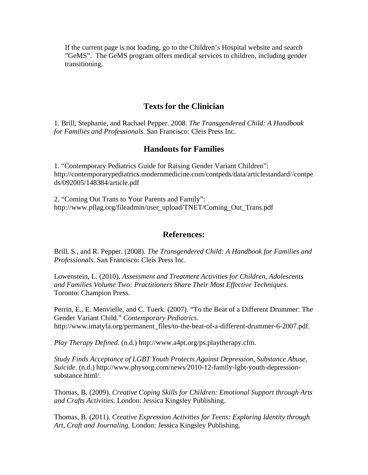If the current page is not loading, go to the Children's Hospital website and search "GeMS". The GeMS program offers medical services to children, including gender transitioning.

### **Texts for the Clinician**

1. Brill, Stephanie, and Rachael Pepper. 2008. *The Transgendered Child: A Handbook for Families and Professionals*. San Francisco: Cleis Press Inc.

### **Handouts for Families**

1. "Contemporary Pediatrics Guide for Raising Gender Variant Children": http://contemporarypediatrics.modernmedicine.com/contpeds/data/articlestandard//contpe ds/092005/148384/article.pdf

2. "Coming Out Trans to Your Parents and Family": http://www.pflag.org/fileadmin/user\_upload/TNET/Coming\_Out\_Trans.pdf

#### **References:**

Brill, S., and R. Pepper. (2008). *The Transgendered Child: A Handbook for Families and Professionals*. San Francisco: Cleis Press Inc.

Lowenstein, L. (2010). *Assessment and Treatment Activities for Children, Adolescents and Families Volume Two: Practitioners Share Their Most Effective Techniques*. Toronto: Champion Press.

Perrin, E., E. Menvielle, and C. Tuerk. (2007). "To the Beat of a Different Drummer: The Gender Variant Child." *Contemporary Pediatrics*. http://www.imatyfa.org/permanent\_files/to-the-beat-of-a-different-drummer-6-2007.pdf.

*Play Therapy Defined*. (n.d.) http://www.a4pt.org/ps.playtherapy.cfm.

*Study Finds Acceptance of LGBT Youth Protects Against Depression, Substance Abuse, Suicide*. (n.d.) http://www.physorg.com/news/2010-12-family-lgbt-youth-depressionsubstance.html/.

Thomas, B. (2009). *Creative Coping Skills for Children: Emotional Support through Arts and Crafts Activities*. London: Jessica Kingsley Publishing.

Thomas, B. (2011). *Creative Expression Activities for Teens: Exploring Identity through Art, Craft and Journaling*. London: Jessica Kingsley Publishing.